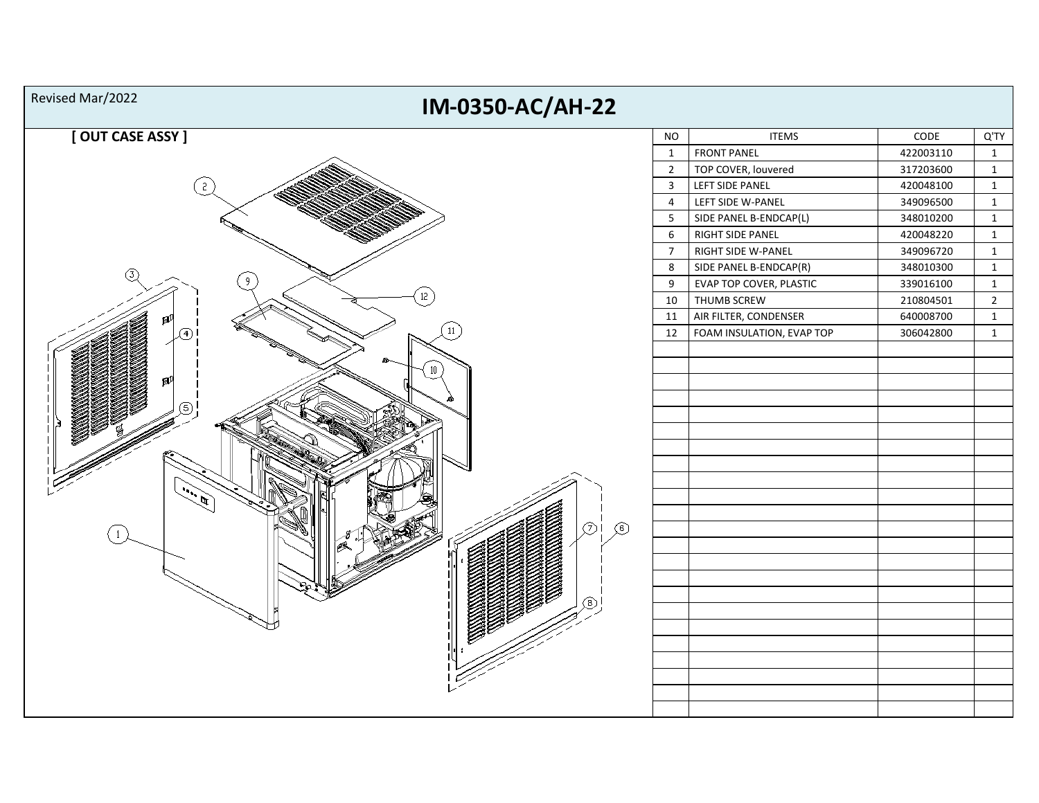| Revised Mar/2022<br>IM-0350-AC/AH-22 |                |                           |           |                |
|--------------------------------------|----------------|---------------------------|-----------|----------------|
| [OUT CASE ASSY]                      | <b>NO</b>      | <b>ITEMS</b>              | CODE      | Q'TY           |
|                                      | $\mathbf{1}$   | <b>FRONT PANEL</b>        | 422003110 | $\mathbf{1}$   |
|                                      | $2^{\circ}$    | TOP COVER, louvered       | 317203600 | $\mathbf{1}$   |
|                                      | $\mathbf{3}$   | LEFT SIDE PANEL           | 420048100 | $\mathbf{1}$   |
|                                      | $\overline{4}$ | LEFT SIDE W-PANEL         | 349096500 | $\mathbf{1}$   |
|                                      | 5              | SIDE PANEL B-ENDCAP(L)    | 348010200 | $\mathbf{1}$   |
|                                      | $6\phantom{a}$ | RIGHT SIDE PANEL          | 420048220 | $\mathbf{1}$   |
|                                      | $\overline{7}$ | RIGHT SIDE W-PANEL        | 349096720 | $\mathbf{1}$   |
| Т                                    | 8              | SIDE PANEL B-ENDCAP(R)    | 348010300 | $\mathbf{1}$   |
|                                      | 9              | EVAP TOP COVER, PLASTIC   | 339016100 | $\mathbf 1$    |
| 12                                   | 10             | THUMB SCREW               | 210804501 | $\overline{2}$ |
|                                      | 11             | AIR FILTER, CONDENSER     | 640008700 | $\mathbf{1}$   |
| 11                                   | 12             | FOAM INSULATION, EVAP TOP | 306042800 | $\mathbf{1}$   |
|                                      |                |                           |           |                |
|                                      |                |                           |           |                |
|                                      |                |                           |           |                |
|                                      |                |                           |           |                |
|                                      |                |                           |           |                |
|                                      |                |                           |           |                |
|                                      |                |                           |           |                |
|                                      |                |                           |           |                |
|                                      |                |                           |           |                |
|                                      |                |                           |           |                |
|                                      |                |                           |           |                |
| $\circledcirc$<br>⑦i                 |                |                           |           |                |
|                                      |                |                           |           |                |
|                                      |                |                           |           |                |
|                                      |                |                           |           |                |
|                                      |                |                           |           |                |
|                                      |                |                           |           |                |
|                                      |                |                           |           |                |
|                                      |                |                           |           |                |
|                                      |                |                           |           |                |
|                                      |                |                           |           |                |
|                                      |                |                           |           |                |
|                                      |                |                           |           |                |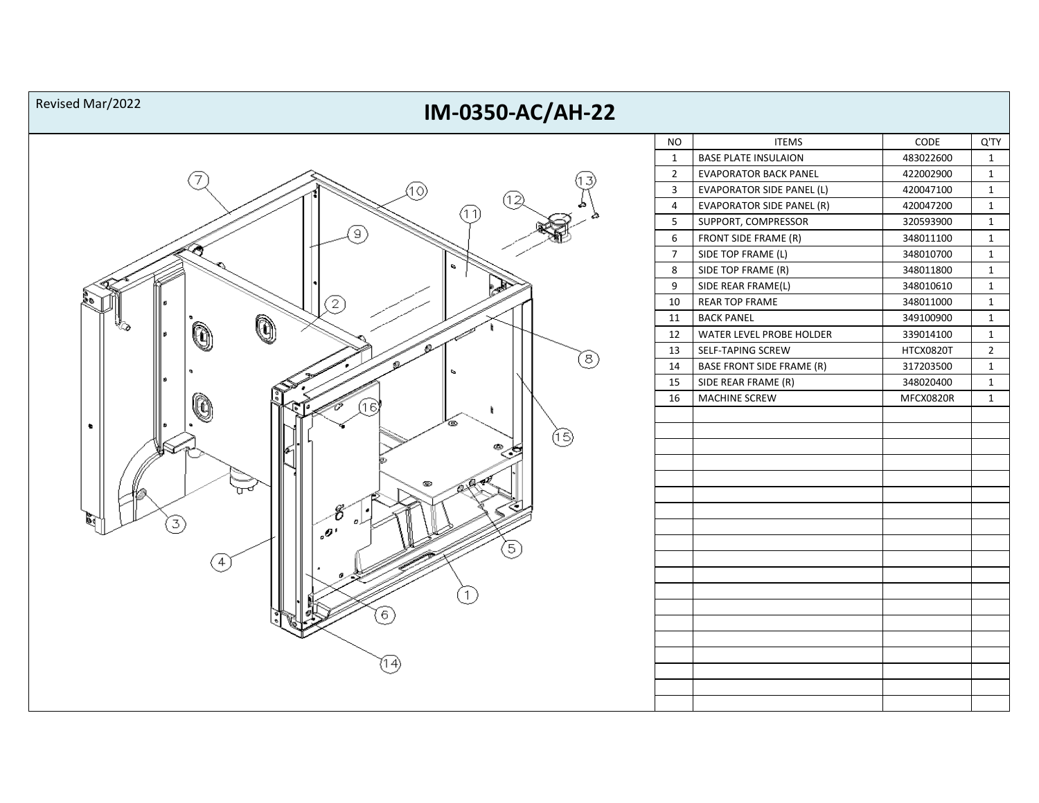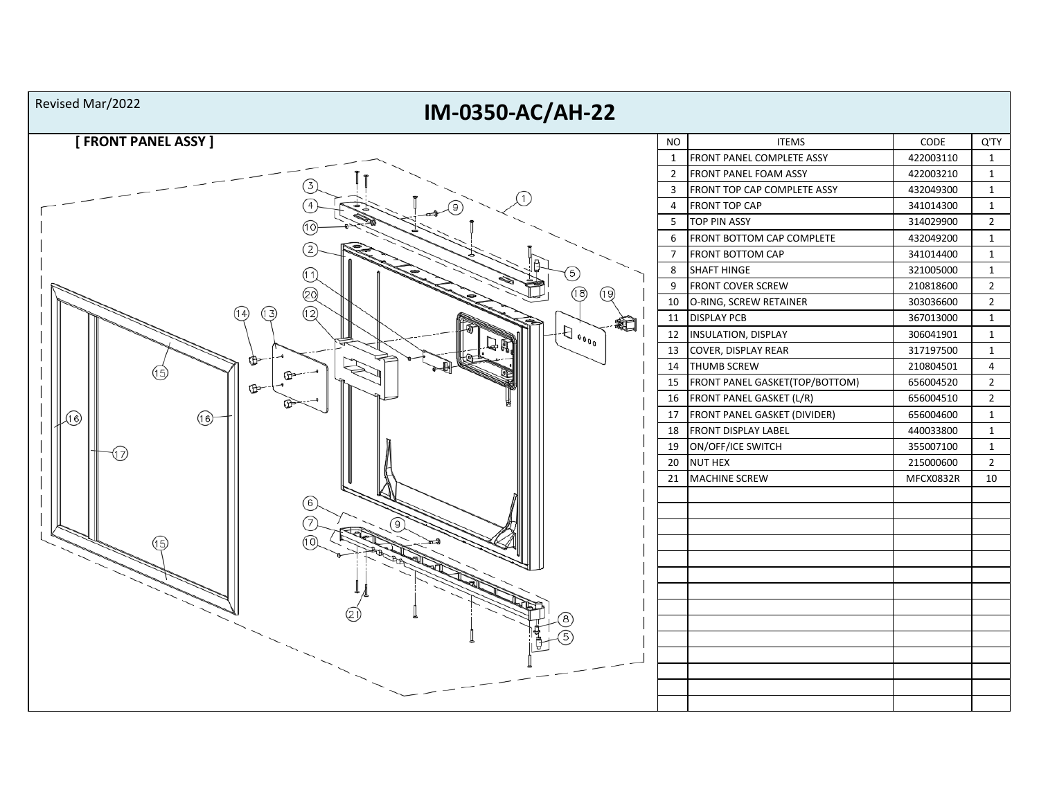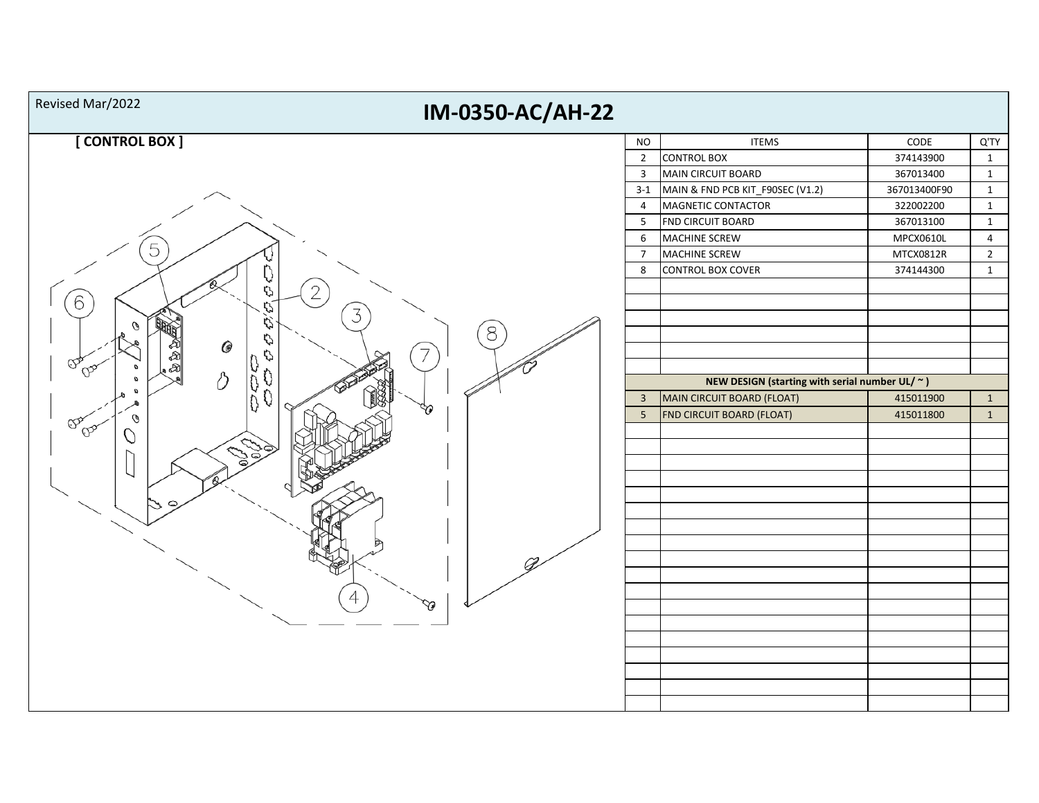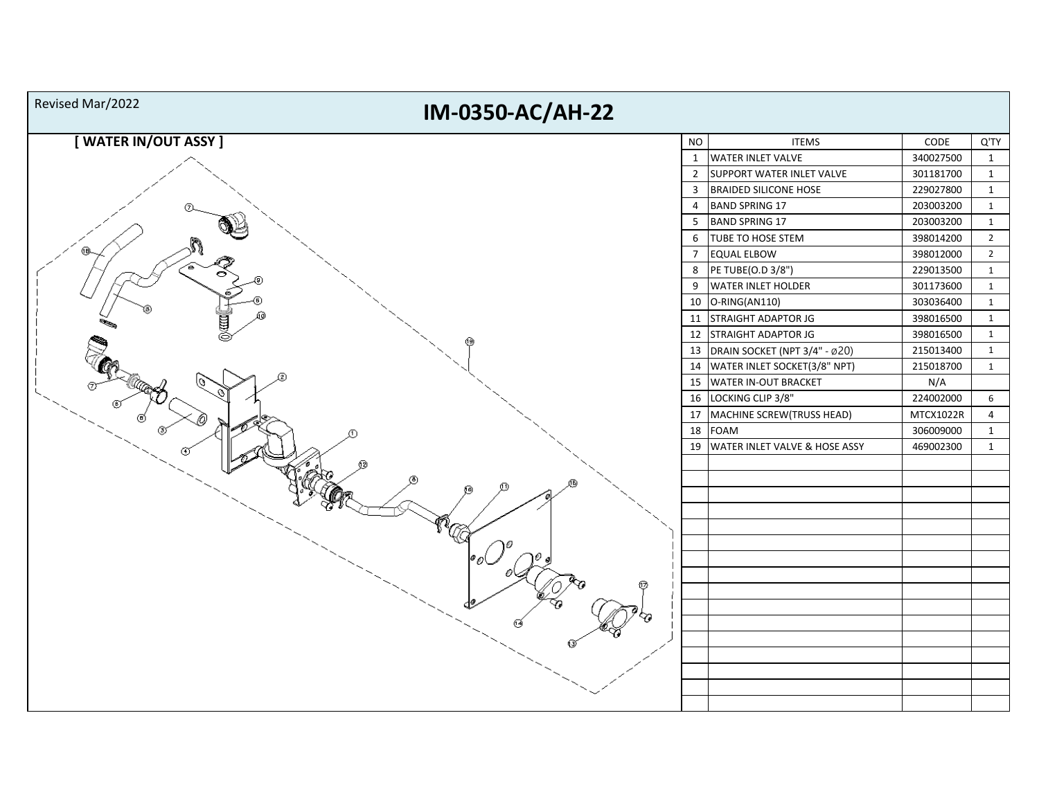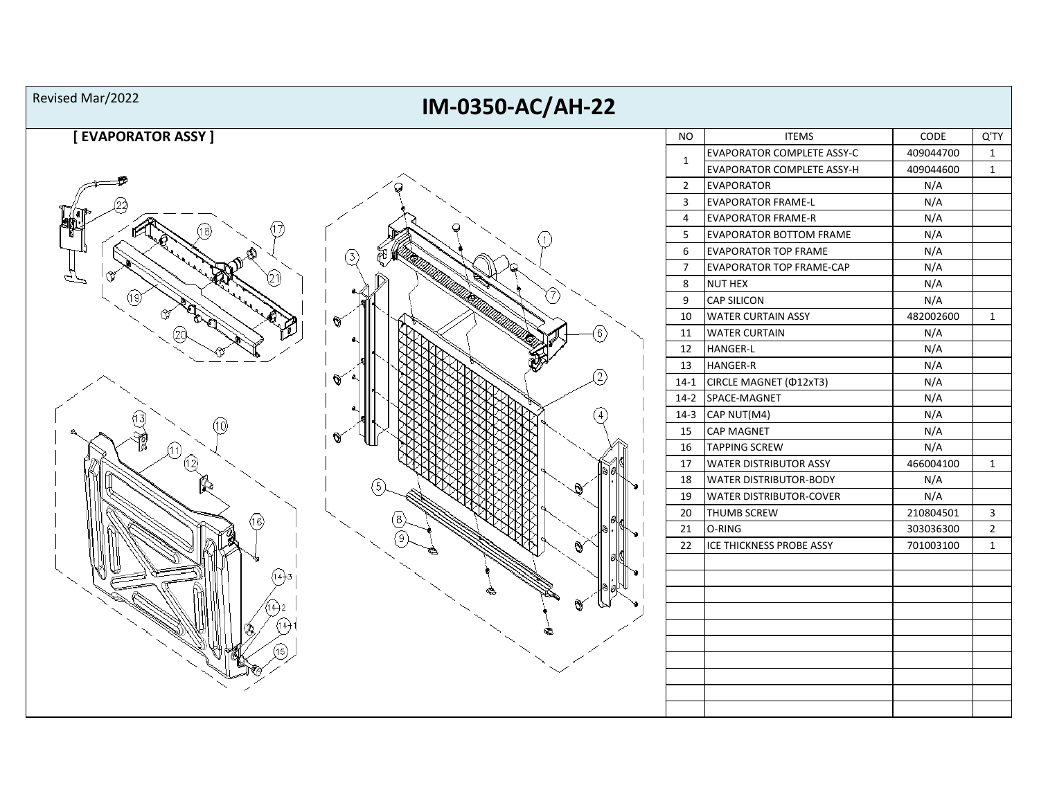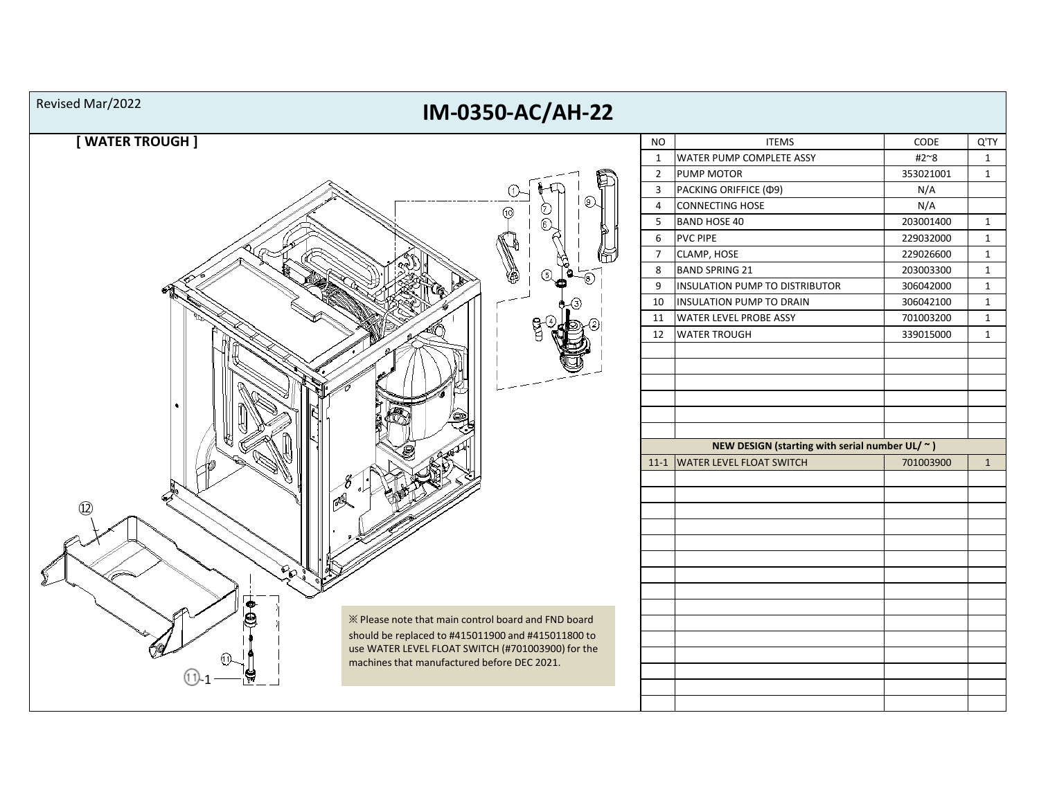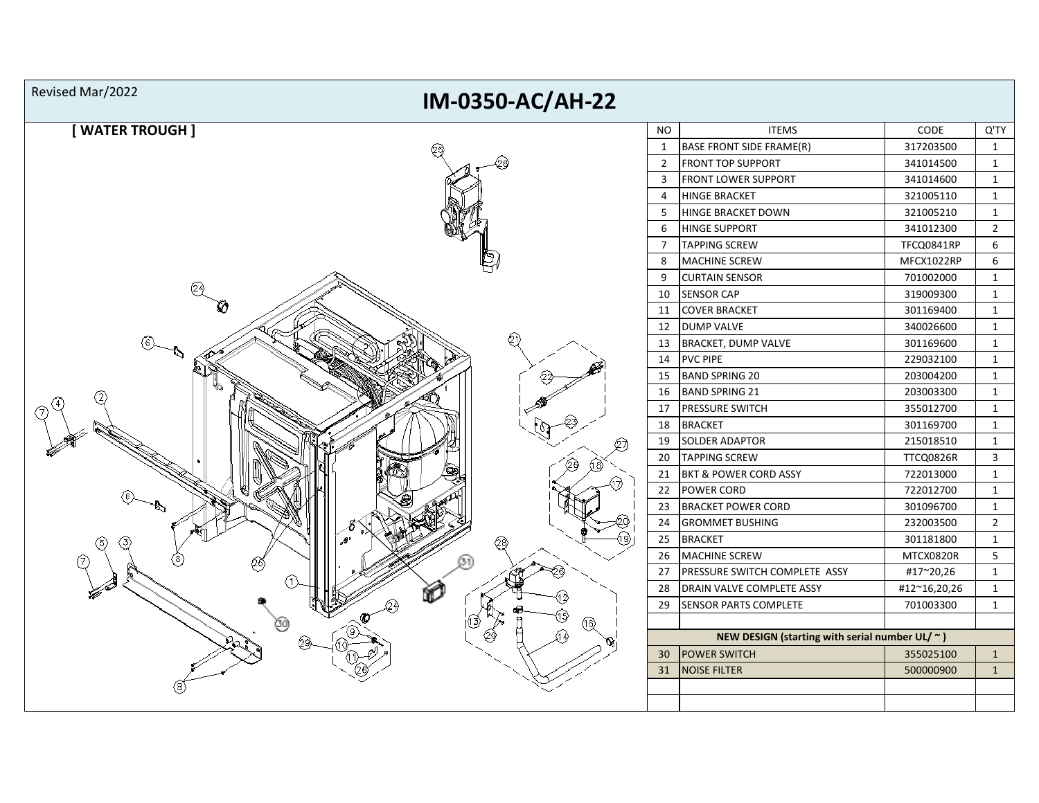| Revised Mar/2022<br>IM-0350-AC/AH-22 |                |                                                      |              |                |  |  |  |
|--------------------------------------|----------------|------------------------------------------------------|--------------|----------------|--|--|--|
| [ WATER TROUGH ]                     | <b>NO</b>      | <b>ITEMS</b>                                         | CODE         | Q'TY           |  |  |  |
|                                      | $\mathbf{1}$   | <b>BASE FRONT SIDE FRAME(R)</b>                      | 317203500    | $\mathbf{1}$   |  |  |  |
|                                      | $\overline{2}$ | <b>FRONT TOP SUPPORT</b>                             | 341014500    | $\mathbf{1}$   |  |  |  |
|                                      | 3              | FRONT LOWER SUPPORT                                  | 341014600    | $\mathbf{1}$   |  |  |  |
|                                      | 4              | <b>HINGE BRACKET</b>                                 | 321005110    | $\mathbf{1}$   |  |  |  |
|                                      | 5              | <b>HINGE BRACKET DOWN</b>                            | 321005210    | 1              |  |  |  |
|                                      | 6              | <b>HINGE SUPPORT</b>                                 | 341012300    | $\overline{2}$ |  |  |  |
|                                      | $\overline{7}$ | <b>TAPPING SCREW</b>                                 | TFCQ0841RP   | 6              |  |  |  |
|                                      | 8              | <b>MACHINE SCREW</b>                                 | MFCX1022RP   | 6              |  |  |  |
|                                      | 9              | <b>CURTAIN SENSOR</b>                                | 701002000    | $\mathbf{1}$   |  |  |  |
|                                      | 10             | <b>SENSOR CAP</b>                                    | 319009300    | $\mathbf{1}$   |  |  |  |
|                                      | 11             | <b>COVER BRACKET</b>                                 | 301169400    | $\mathbf{1}$   |  |  |  |
|                                      | 12             | <b>DUMP VALVE</b>                                    | 340026600    | $\mathbf{1}$   |  |  |  |
|                                      | 13             | <b>BRACKET, DUMP VALVE</b>                           | 301169600    | $\mathbf{1}$   |  |  |  |
|                                      | 14             | <b>PVC PIPE</b>                                      | 229032100    | $\mathbf{1}$   |  |  |  |
|                                      | 15             | <b>BAND SPRING 20</b>                                | 203004200    | $\mathbf{1}$   |  |  |  |
|                                      | 16             | <b>BAND SPRING 21</b>                                | 203003300    | $\mathbf{1}$   |  |  |  |
|                                      | 17             | <b>PRESSURE SWITCH</b>                               | 355012700    | $\mathbf{1}$   |  |  |  |
|                                      | 18             | <b>BRACKET</b>                                       | 301169700    | 1              |  |  |  |
|                                      | 19             | <b>SOLDER ADAPTOR</b>                                | 215018510    | $\mathbf{1}$   |  |  |  |
|                                      | 20             | <b>TAPPING SCREW</b>                                 | TTCQ0826R    | 3              |  |  |  |
|                                      | 21             | <b>BKT &amp; POWER CORD ASSY</b>                     | 722013000    | $\mathbf{1}$   |  |  |  |
|                                      | 22             | POWER CORD                                           | 722012700    | $\mathbf{1}$   |  |  |  |
|                                      | 23             | <b>BRACKET POWER CORD</b>                            | 301096700    | $\mathbf{1}$   |  |  |  |
|                                      | 24             | <b>GROMMET BUSHING</b>                               | 232003500    | $\overline{2}$ |  |  |  |
|                                      | 25             | <b>BRACKET</b>                                       | 301181800    | $\mathbf{1}$   |  |  |  |
|                                      | 26             | <b>MACHINE SCREW</b>                                 | MTCX0820R    | 5              |  |  |  |
|                                      | 27             | PRESSURE SWITCH COMPLETE ASSY                        | #17~20,26    | $\mathbf{1}$   |  |  |  |
|                                      | 28             | DRAIN VALVE COMPLETE ASSY                            | #12~16,20,26 | $\mathbf{1}$   |  |  |  |
|                                      | 29             | <b>SENSOR PARTS COMPLETE</b>                         | 701003300    | 1              |  |  |  |
|                                      |                | NEW DESIGN (starting with serial number UL/ $\sim$ ) |              |                |  |  |  |
|                                      | 30             | <b>POWER SWITCH</b>                                  | 355025100    | $\mathbf{1}$   |  |  |  |
|                                      | 31             | <b>NOISE FILTER</b>                                  | 500000900    | $\mathbf{1}$   |  |  |  |
|                                      |                |                                                      |              |                |  |  |  |
|                                      |                |                                                      |              |                |  |  |  |